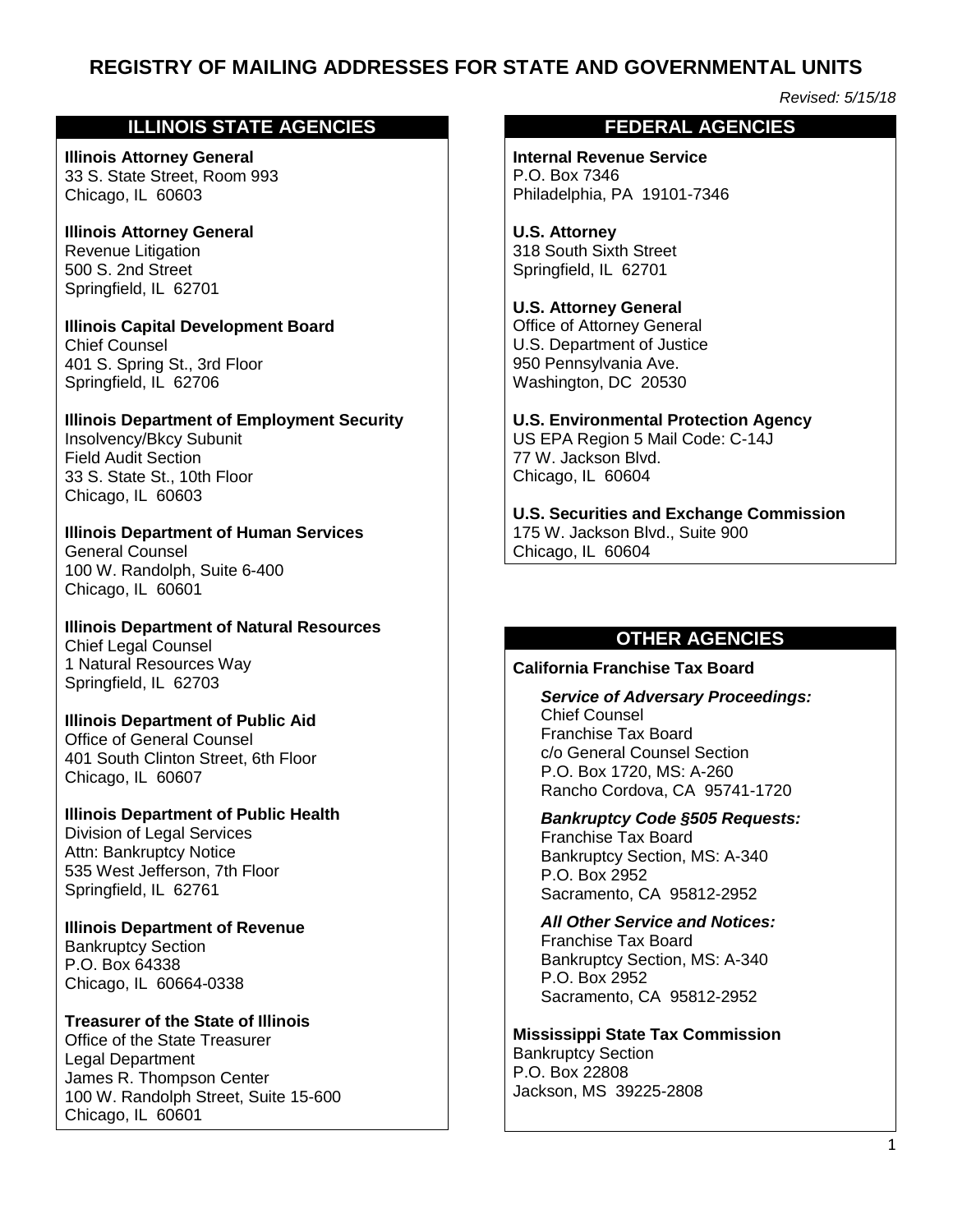# **REGISTRY OF MAILING ADDRESSES FOR STATE AND GOVERNMENTAL UNITS**

*Revised: 5/15/18*

## **ILLINOIS STATE AGENCIES**

**Illinois Attorney General** 33 S. State Street, Room 993 Chicago, IL 60603

**Illinois Attorney General** Revenue Litigation 500 S. 2nd Street Springfield, IL 62701

**Illinois Capital Development Board** Chief Counsel 401 S. Spring St., 3rd Floor Springfield, IL 62706

**Illinois Department of Employment Security** Insolvency/Bkcy Subunit Field Audit Section 33 S. State St., 10th Floor Chicago, IL 60603

**Illinois Department of Human Services** General Counsel 100 W. Randolph, Suite 6-400 Chicago, IL 60601

**Illinois Department of Natural Resources** Chief Legal Counsel 1 Natural Resources Way Springfield, IL 62703

**Illinois Department of Public Aid** Office of General Counsel

401 South Clinton Street, 6th Floor Chicago, IL 60607

**Illinois Department of Public Health** Division of Legal Services Attn: Bankruptcy Notice 535 West Jefferson, 7th Floor Springfield, IL 62761

**Illinois Department of Revenue** Bankruptcy Section P.O. Box 64338 Chicago, IL 60664-0338

**Treasurer of the State of Illinois** Office of the State Treasurer Legal Department James R. Thompson Center 100 W. Randolph Street, Suite 15-600 Chicago, IL 60601

#### **FEDERAL AGENCIES**

**Internal Revenue Service** P.O. Box 7346 Philadelphia, PA 19101-7346

**U.S. Attorney** 318 South Sixth Street Springfield, IL 62701

**U.S. Attorney General** Office of Attorney General U.S. Department of Justice 950 Pennsylvania Ave. Washington, DC 20530

**U.S. Environmental Protection Agency** US EPA Region 5 Mail Code: C-14J 77 W. Jackson Blvd. Chicago, IL 60604

**U.S. Securities and Exchange Commission** 175 W. Jackson Blvd., Suite 900 Chicago, IL 60604

## **OTHER AGENCIES**

**California Franchise Tax Board** 

*Service of Adversary Proceedings:* Chief Counsel Franchise Tax Board c/o General Counsel Section P.O. Box 1720, MS: A-260 Rancho Cordova, CA 95741-1720

*Bankruptcy Code §505 Requests:*

Franchise Tax Board Bankruptcy Section, MS: A-340 P.O. Box 2952 Sacramento, CA 95812-2952

*All Other Service and Notices:*  Franchise Tax Board Bankruptcy Section, MS: A-340 P.O. Box 2952 Sacramento, CA 95812-2952

**Mississippi State Tax Commission** Bankruptcy Section P.O. Box 22808 Jackson, MS 39225-2808